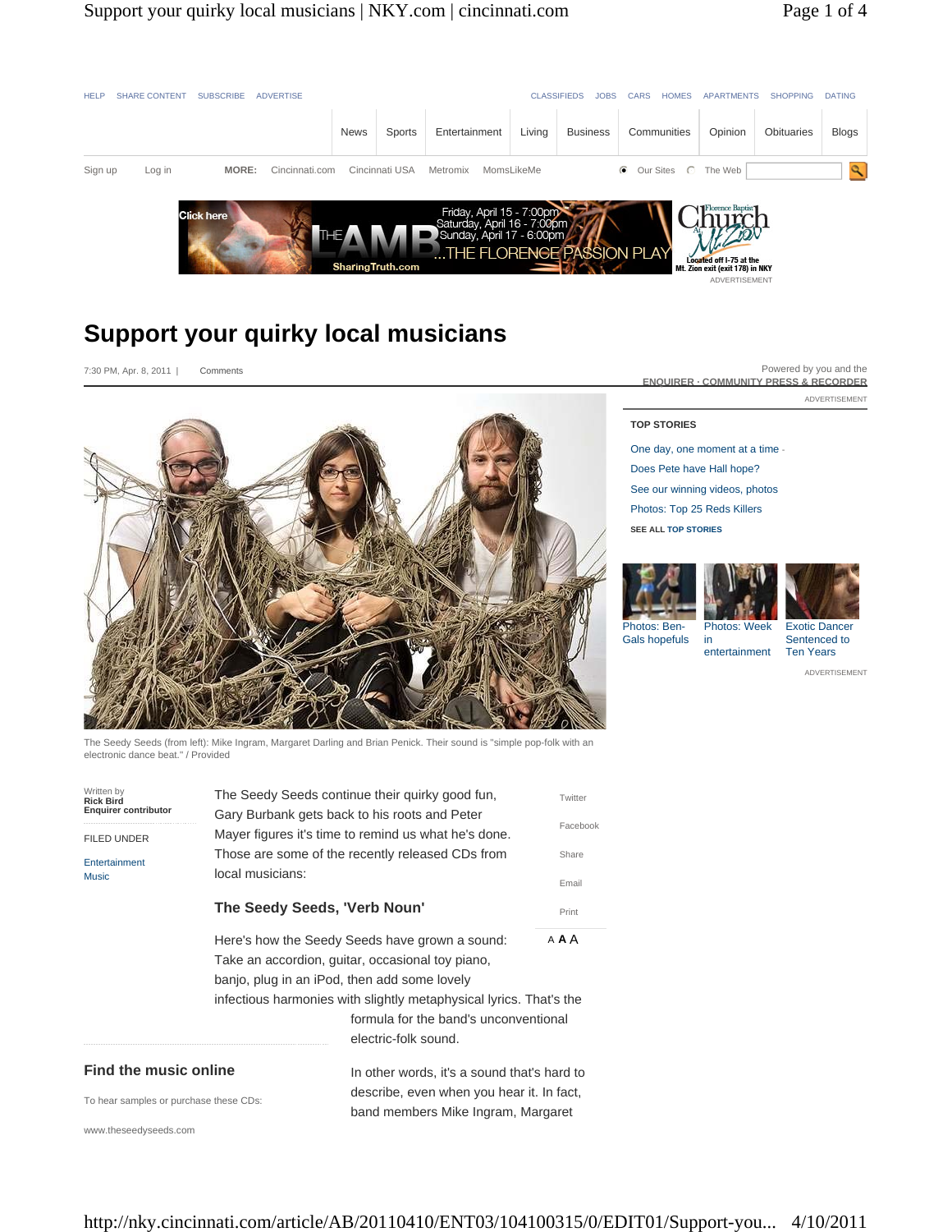

## **Support your quirky local musicians**

7:30 PM, Apr. 8, 2011 | Comments



The Seedy Seeds (from left): Mike Ingram, Margaret Darling and Brian Penick. Their sound is "simple pop-folk with an electronic dance beat." / Provided

| Written by<br><b>Rick Bird</b><br><b>Enquirer contributor</b> |                                                                                                                                                                                                                 | The Seedy Seeds continue their quirky good fun, | Twitter  |                              |  |                                             |  |
|---------------------------------------------------------------|-----------------------------------------------------------------------------------------------------------------------------------------------------------------------------------------------------------------|-------------------------------------------------|----------|------------------------------|--|---------------------------------------------|--|
| <b>FILED UNDER</b>                                            | Gary Burbank gets back to his roots and Peter<br>Mayer figures it's time to remind us what he's done.<br>Those are some of the recently released CDs from<br>local musicians:                                   |                                                 | Facebook |                              |  |                                             |  |
| Entertainment<br><b>Music</b>                                 |                                                                                                                                                                                                                 | Share                                           |          |                              |  |                                             |  |
|                                                               |                                                                                                                                                                                                                 |                                                 | Email    |                              |  |                                             |  |
|                                                               | The Seedy Seeds, 'Verb Noun'                                                                                                                                                                                    |                                                 | Print    |                              |  |                                             |  |
|                                                               | Here's how the Seedy Seeds have grown a sound:                                                                                                                                                                  |                                                 | A A A    |                              |  |                                             |  |
|                                                               | Take an accordion, guitar, occasional toy piano,<br>banjo, plug in an iPod, then add some lovely<br>infectious harmonies with slightly metaphysical lyrics. That's the<br>formula for the band's unconventional |                                                 |          |                              |  |                                             |  |
|                                                               |                                                                                                                                                                                                                 |                                                 |          |                              |  | electric-folk sound.                        |  |
|                                                               |                                                                                                                                                                                                                 |                                                 |          | <b>Find the music online</b> |  | In other words, it's a sound that's hard to |  |
|                                                               |                                                                                                                                                                                                                 |                                                 |          |                              |  |                                             |  |

ADVERTISEMENT Powered by you and the **ENQUIRER · COMMUNITY PRESS & RECORDER**

## **TOP STORIES**

One day, one moment at a time - Does Pete have Hall hope? See our winning videos, photos Photos: Top 25 Reds Killers **SEE ALL TOP STORIES**

in

entertainment



Gals hopefuls



Exotic Dancer Sentenced to Ten Years

ADVERTISEMENT

To hear samples or purchase these CDs:

describe, even when you hear it. In fact, band members Mike Ingram, Margaret

www.theseedyseeds.com